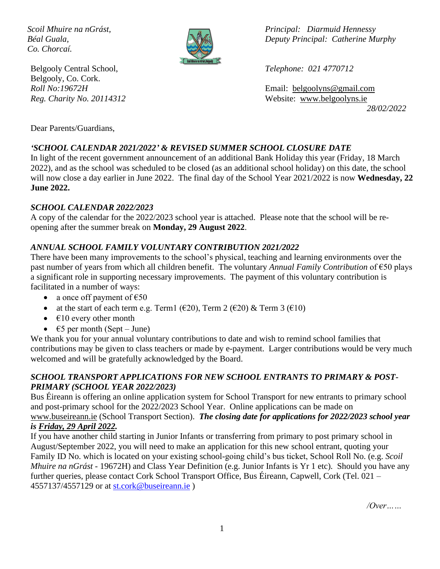*Co. Chorcaí.*



Belgooly Central School, *Telephone: 021 4770712* Belgooly, Co. Cork.

*Scoil Mhuire na nGrást, Principal: Diarmuid Hennessy Béal Guala, Deputy Principal: Catherine Murphy*

*Roll No:19672H* Email: [belgoolyns@gmail.com](mailto:belgoolyns@gmail.com) *Reg. Charity No. 20114312* Website: [www.belgoolyns.ie](http://www.belgoolyns.scoilnet.ie/) *28/02/2022*

Dear Parents/Guardians,

## *'SCHOOL CALENDAR 2021/2022' & REVISED SUMMER SCHOOL CLOSURE DATE*

In light of the recent government announcement of an additional Bank Holiday this year (Friday, 18 March 2022), and as the school was scheduled to be closed (as an additional school holiday) on this date, the school will now close a day earlier in June 2022. The final day of the School Year 2021/2022 is now **Wednesday, 22 June 2022.**

#### *SCHOOL CALENDAR 2022/2023*

A copy of the calendar for the 2022/2023 school year is attached. Please note that the school will be reopening after the summer break on **Monday, 29 August 2022**.

## *ANNUAL SCHOOL FAMILY VOLUNTARY CONTRIBUTION 2021/2022*

There have been many improvements to the school's physical, teaching and learning environments over the past number of years from which all children benefit. The voluntary *Annual Family Contribution* of €50 plays a significant role in supporting necessary improvements. The payment of this voluntary contribution is facilitated in a number of ways:

- a once off payment of  $\text{\textsterling}50$
- at the start of each term e.g. Term1 ( $\epsilon$ 20), Term 2 ( $\epsilon$ 20) & Term 3 ( $\epsilon$ 10)
- $\epsilon$ 10 every other month
- $\epsilon$ 5 per month (Sept June)

We thank you for your annual voluntary contributions to date and wish to remind school families that contributions may be given to class teachers or made by e-payment. Larger contributions would be very much welcomed and will be gratefully acknowledged by the Board.

#### *SCHOOL TRANSPORT APPLICATIONS FOR NEW SCHOOL ENTRANTS TO PRIMARY & POST-PRIMARY (SCHOOL YEAR 2022/2023)*

Bus Éireann is offering an online application system for School Transport for new entrants to primary school and post-primary school for the 2022/2023 School Year. Online applications can be made on [www.buseireann.ie](http://www.buseireann.ie/) (School Transport Section). *The closing date for applications for 2022/2023 school year is Friday, 29 April 2022.*

If you have another child starting in Junior Infants or transferring from primary to post primary school in August/September 2022, you will need to make an application for this new school entrant, quoting your Family ID No. which is located on your existing school-going child's bus ticket, School Roll No. (e.g. *Scoil Mhuire na nGrást* - 19672H) and Class Year Definition (e.g. Junior Infants is Yr 1 etc). Should you have any further queries, please contact Cork School Transport Office, Bus Éireann, Capwell, Cork (Tel. 021 – 4557137/4557129 or at [st.cork@buseireann.ie](mailto:st.cork@buseireann.ie) )

*/Over……*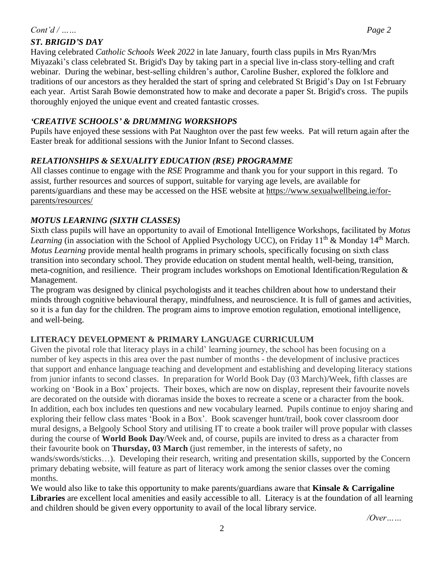### *Cont'd / …… Page 2*

## *ST. BRIGID'S DAY*

Having celebrated *Catholic Schools Week 2022* in late January, fourth class pupils in Mrs Ryan/Mrs Miyazaki's class celebrated St. Brigid's Day by taking part in a special live in-class story-telling and craft webinar. During the webinar, best-selling children's author, Caroline Busher, explored the folklore and traditions of our ancestors as they heralded the start of spring and celebrated St Brigid's Day on 1st February each year. Artist Sarah Bowie demonstrated how to make and decorate a paper St. Brigid's cross. The pupils thoroughly enjoyed the unique event and created fantastic crosses.

### *'CREATIVE SCHOOLS' & DRUMMING WORKSHOPS*

Pupils have enjoyed these sessions with Pat Naughton over the past few weeks. Pat will return again after the Easter break for additional sessions with the Junior Infant to Second classes.

#### *RELATIONSHIPS & SEXUALITY EDUCATION (RSE) PROGRAMME*

All classes continue to engage with the *RSE* Programme and thank you for your support in this regard. To assist, further resources and sources of support, suitable for varying age levels, are available for parents/guardians and these may be accessed on the HSE website at [https://www.sexualwellbeing.ie/for](https://www.sexualwellbeing.ie/for-parents/resources/)[parents/resources/](https://www.sexualwellbeing.ie/for-parents/resources/)

#### *MOTUS LEARNING (SIXTH CLASSES)*

Sixth class pupils will have an opportunity to avail of Emotional Intelligence Workshops, facilitated by *Motus Learning* (in association with the School of Applied Psychology UCC), on Friday 11<sup>th</sup> & Monday 14<sup>th</sup> March. *Motus Learning* provide mental health programs in primary schools, specifically focusing on sixth class transition into secondary school. They provide education on student mental health, well-being, transition, meta-cognition, and resilience. Their program includes workshops on Emotional Identification/Regulation & Management.

The program was designed by clinical psychologists and it teaches children about how to understand their minds through cognitive behavioural therapy, mindfulness, and neuroscience. It is full of games and activities, so it is a fun day for the children. The program aims to improve emotion regulation, emotional intelligence, and well-being.

## **LITERACY DEVELOPMENT & PRIMARY LANGUAGE CURRICULUM**

Given the pivotal role that literacy plays in a child' learning journey, the school has been focusing on a number of key aspects in this area over the past number of months - the development of inclusive practices that support and enhance language teaching and development and establishing and developing literacy stations from junior infants to second classes. In preparation for World Book Day (03 March)/Week, fifth classes are working on 'Book in a Box' projects. Their boxes, which are now on display, represent their favourite novels are decorated on the outside with dioramas inside the boxes to recreate a scene or a character from the book. In addition, each box includes ten questions and new vocabulary learned. Pupils continue to enjoy sharing and exploring their fellow class mates 'Book in a Box'. Book scavenger hunt/trail, book cover classroom door mural designs, a Belgooly School Story and utilising IT to create a book trailer will prove popular with classes during the course of **World Book Day**/Week and, of course, pupils are invited to dress as a character from their favourite book on **Thursday, 03 March** (just remember, in the interests of safety, no wands/swords/sticks…). Developing their research, writing and presentation skills, supported by the Concern primary debating website, will feature as part of literacy work among the senior classes over the coming months.

We would also like to take this opportunity to make parents/guardians aware that **Kinsale & Carrigaline Libraries** are excellent local amenities and easily accessible to all. Literacy is at the foundation of all learning and children should be given every opportunity to avail of the local library service.

*/Over……*